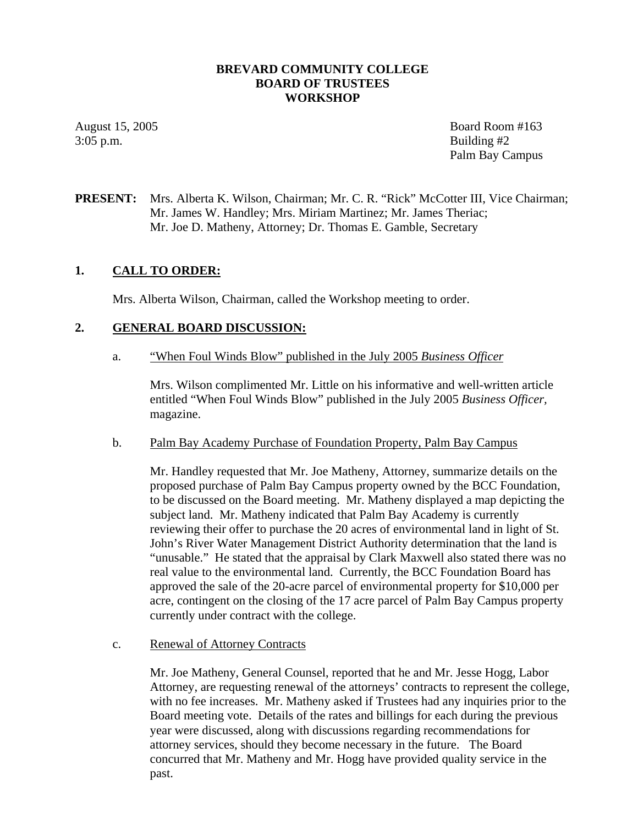### **BREVARD COMMUNITY COLLEGE BOARD OF TRUSTEES WORKSHOP**

3:05 p.m. Building #2

August 15, 2005 Board Room #163 Palm Bay Campus

# **PRESENT:** Mrs. Alberta K. Wilson, Chairman; Mr. C. R. "Rick" McCotter III, Vice Chairman; Mr. James W. Handley; Mrs. Miriam Martinez; Mr. James Theriac; Mr. Joe D. Matheny, Attorney; Dr. Thomas E. Gamble, Secretary

### **1. CALL TO ORDER:**

Mrs. Alberta Wilson, Chairman, called the Workshop meeting to order.

## **2. GENERAL BOARD DISCUSSION:**

a. "When Foul Winds Blow" published in the July 2005 *Business Officer*

Mrs. Wilson complimented Mr. Little on his informative and well-written article entitled "When Foul Winds Blow" published in the July 2005 *Business Officer,*  magazine.

### b. Palm Bay Academy Purchase of Foundation Property, Palm Bay Campus

Mr. Handley requested that Mr. Joe Matheny, Attorney, summarize details on the proposed purchase of Palm Bay Campus property owned by the BCC Foundation, to be discussed on the Board meeting. Mr. Matheny displayed a map depicting the subject land. Mr. Matheny indicated that Palm Bay Academy is currently reviewing their offer to purchase the 20 acres of environmental land in light of St. John's River Water Management District Authority determination that the land is "unusable." He stated that the appraisal by Clark Maxwell also stated there was no real value to the environmental land. Currently, the BCC Foundation Board has approved the sale of the 20-acre parcel of environmental property for \$10,000 per acre, contingent on the closing of the 17 acre parcel of Palm Bay Campus property currently under contract with the college.

### c. Renewal of Attorney Contracts

Mr. Joe Matheny, General Counsel, reported that he and Mr. Jesse Hogg, Labor Attorney, are requesting renewal of the attorneys' contracts to represent the college, with no fee increases. Mr. Matheny asked if Trustees had any inquiries prior to the Board meeting vote. Details of the rates and billings for each during the previous year were discussed, along with discussions regarding recommendations for attorney services, should they become necessary in the future. The Board concurred that Mr. Matheny and Mr. Hogg have provided quality service in the past.